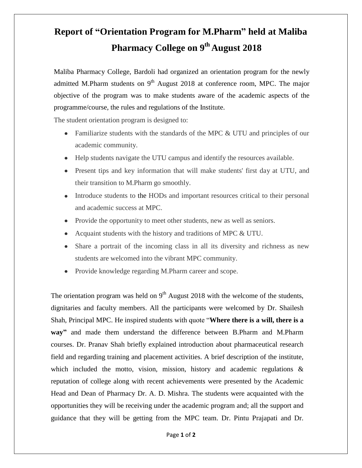## **Report of "Orientation Program for M.Pharm" held at Maliba Pharmacy College on 9 th August 2018**

Maliba Pharmacy College, Bardoli had organized an orientation program for the newly admitted M.Pharm students on  $9<sup>th</sup>$  August 2018 at conference room, MPC. The major objective of the program was to make students aware of the academic aspects of the programme/course, the rules and regulations of the Institute.

The student orientation program is designed to:

- Familiarize students with the standards of the MPC & UTU and principles of our academic community.
- Help students navigate the UTU campus and identify the resources available.
- Present tips and key information that will make students' first day at UTU, and their transition to M.Pharm go smoothly.
- Introduce students to the HODs and important resources critical to their personal and academic success at MPC.
- Provide the opportunity to meet other students, new as well as seniors.
- Acquaint students with the history and traditions of MPC & UTU.
- Share a portrait of the incoming class in all its diversity and richness as new students are welcomed into the vibrant MPC community.
- Provide knowledge regarding M.Pharm career and scope.  $\bullet$

The orientation program was held on  $9<sup>th</sup>$  August 2018 with the welcome of the students, dignitaries and faculty members. All the participants were welcomed by Dr. Shailesh Shah, Principal MPC. He inspired students with quote "**Where there is a will, there is a way"** and made them understand the difference between B.Pharm and M.Pharm courses. Dr. Pranav Shah briefly explained introduction about pharmaceutical research field and regarding training and placement activities. A brief description of the institute, which included the motto, vision, mission, history and academic regulations & reputation of college along with recent achievements were presented by the Academic Head and Dean of Pharmacy Dr. A. D. Mishra. The students were acquainted with the opportunities they will be receiving under the academic program and; all the support and guidance that they will be getting from the MPC team. Dr. Pintu Prajapati and Dr.